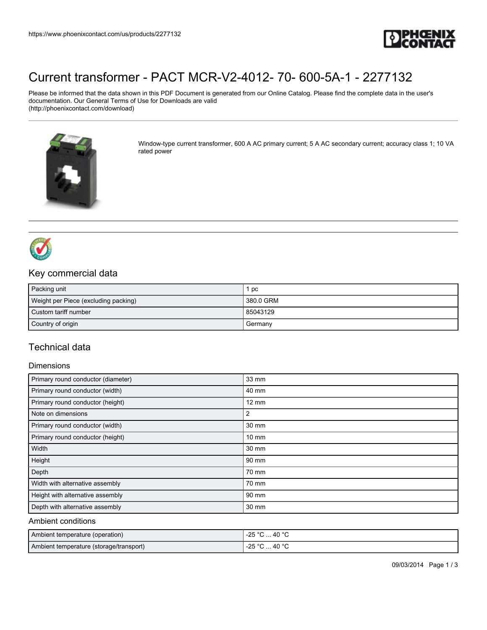

# [Current transformer - PACT MCR-V2-4012- 70- 600-5A-1 - 2277132](https://www.phoenixcontact.com/us/products/2277132)

Please be informed that the data shown in this PDF Document is generated from our Online Catalog. Please find the complete data in the user's documentation. Our General Terms of Use for Downloads are valid (http://phoenixcontact.com/download)



Window-type current transformer, 600 A AC primary current; 5 A AC secondary current; accuracy class 1; 10 VA rated power



## Key commercial data

| Packing unit                         | pc        |
|--------------------------------------|-----------|
| Weight per Piece (excluding packing) | 380.0 GRM |
| Custom tariff number                 | 85043129  |
| Country of origin                    | I Germany |

## Technical data

#### **Dimensions**

| Primary round conductor (diameter) | 33 mm           |
|------------------------------------|-----------------|
| Primary round conductor (width)    | 40 mm           |
| Primary round conductor (height)   | $12 \text{ mm}$ |
| Note on dimensions                 | 2               |
| Primary round conductor (width)    | 30 mm           |
| Primary round conductor (height)   | $10 \text{ mm}$ |
| Width                              | 30 mm           |
| Height                             | 90 mm           |
| Depth                              | 70 mm           |
| Width with alternative assembly    | 70 mm           |
| Height with alternative assembly   | 90 mm           |
| Depth with alternative assembly    | 30 mm           |

#### Ambient conditions

| Ambient temperature (operation)         | $^{\circ}$ C  40 $^{\circ}$ C<br>-25 °C |
|-----------------------------------------|-----------------------------------------|
| Ambient temperature (storage/transport) | °C  40 °C<br>-25 °C                     |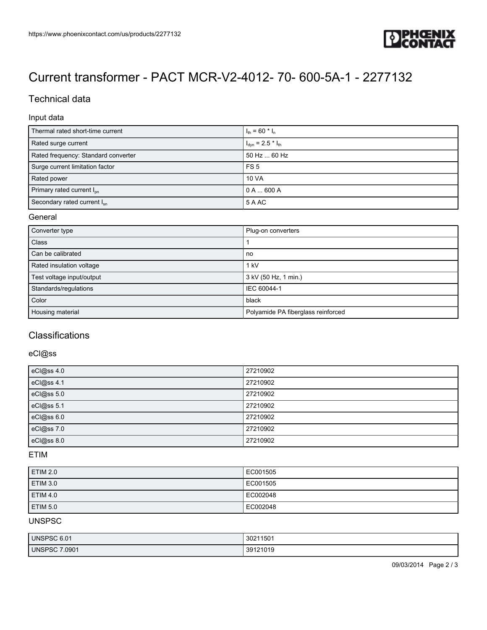

# [Current transformer - PACT MCR-V2-4012- 70- 600-5A-1 - 2277132](https://www.phoenixcontact.com/us/products/2277132)

## Technical data

### Input data

| Thermal rated short-time current      | $I_{\text{th}}$ = 60 $^{\star}$ I <sub>n</sub> |
|---------------------------------------|------------------------------------------------|
| Rated surge current                   | $I_{dyn}$ = 2.5 $*$ $I_{th}$                   |
| Rated frequency: Standard converter   | 50 Hz  60 Hz                                   |
| Surge current limitation factor       | FS <sub>5</sub>                                |
| Rated power                           | <b>10 VA</b>                                   |
| Primary rated current I <sub>pp</sub> | $0 A$ 600 A                                    |
| Secondary rated current $I_{sn}$      | 5 A AC                                         |

#### General

| Converter type            | Plug-on converters                 |
|---------------------------|------------------------------------|
| <b>Class</b>              |                                    |
| Can be calibrated         | no                                 |
| Rated insulation voltage  | 1 kV                               |
| Test voltage input/output | 3 kV (50 Hz, 1 min.)               |
| Standards/regulations     | IEC 60044-1                        |
| Color                     | black                              |
| Housing material          | Polyamide PA fiberglass reinforced |

### **Classifications**

### eCl@ss

| eCl@ss 4.0 | 27210902 |
|------------|----------|
| eCl@ss 4.1 | 27210902 |
| eCl@ss 5.0 | 27210902 |
| eCl@ss 5.1 | 27210902 |
| eCl@ss 6.0 | 27210902 |
| eCl@ss 7.0 | 27210902 |
| eCl@ss 8.0 | 27210902 |

#### ETIM

| <b>ETIM 2.0</b> | EC001505 |
|-----------------|----------|
| <b>ETIM 3.0</b> | EC001505 |
| <b>ETIM 4.0</b> | EC002048 |
| <b>ETIM 5.0</b> | EC002048 |

## UNSPSC

| UNSPSC 6.01      | 30211501 |
|------------------|----------|
| 7.0901<br>UNSPSC | 39121019 |